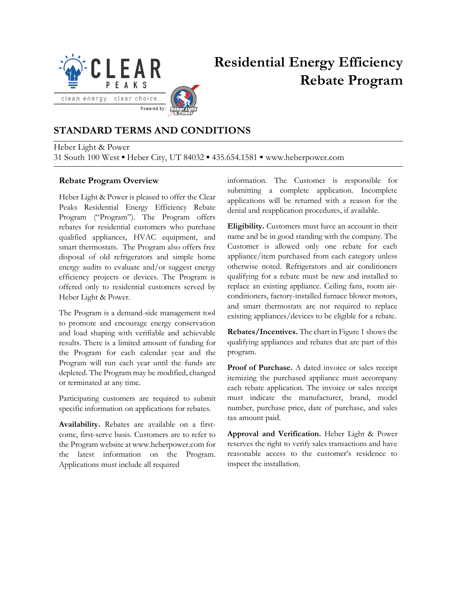

# **Residential Energy Efficiency Rebate Program**

#### **STANDARD TERMS AND CONDITIONS**

Heber Light & Power 31 South 100 West ▪ Heber City, UT 84032 ▪ 435.654.1581 ▪ www.heberpower.com

#### **Rebate Program Overview**

Heber Light & Power is pleased to offer the Clear Peaks Residential Energy Efficiency Rebate Program ("Program"). The Program offers rebates for residential customers who purchase qualified appliances, HVAC equipment, and smart thermostats. The Program also offers free disposal of old refrigerators and simple home energy audits to evaluate and/or suggest energy efficiency projects or devices. The Program is offered only to residential customers served by Heber Light & Power.

The Program is a demand-side management tool to promote and encourage energy conservation and load shaping with verifiable and achievable results. There is a limited amount of funding for the Program for each calendar year and the Program will run each year until the funds are depleted. The Program may be modified, changed or terminated at any time.

Participating customers are required to submit specific information on applications for rebates.

**Availability.** Rebates are available on a firstcome, first-serve basis. Customers are to refer to the Program website at www.heberpower.com for the latest information on the Program. Applications must include all required

information. The Customer is responsible for submitting a complete application. Incomplete applications will be returned with a reason for the denial and reapplication procedures, if available.

**Eligibility.** Customers must have an account in their name and be in good standing with the company. The Customer is allowed only one rebate for each appliance/item purchased from each category unless otherwise noted. Refrigerators and air conditioners qualifying for a rebate must be new and installed to replace an existing appliance. Ceiling fans, room airconditioners, factory-installed furnace blower motors, and smart thermostats are not required to replace existing appliances/devices to be eligible for a rebate.

**Rebates/Incentives.** The chart in Figure 1 shows the qualifying appliances and rebates that are part of this program.

**Proof of Purchase.** A dated invoice or sales receipt itemizing the purchased appliance must accompany each rebate application. The invoice or sales receipt must indicate the manufacturer, brand, model number, purchase price, date of purchase, and sales tax amount paid.

**Approval and Verification.** Heber Light & Power reserves the right to verify sales transactions and have reasonable access to the customer's residence to inspect the installation.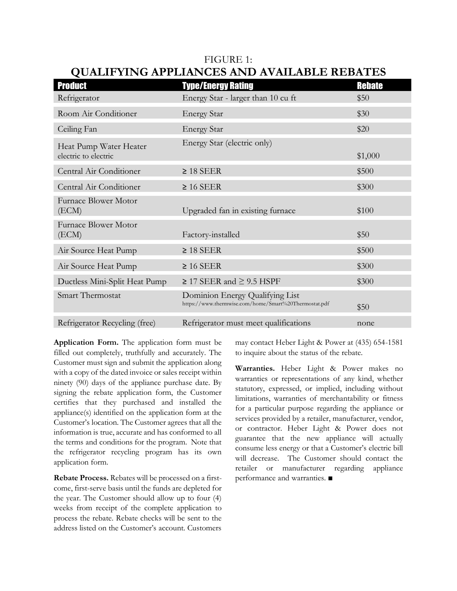| <b>Product</b>                                 | <b>Type/Energy Rating</b>                                                                | <b>Rebate</b> |
|------------------------------------------------|------------------------------------------------------------------------------------------|---------------|
| Refrigerator                                   | Energy Star - larger than 10 cu ft                                                       | \$50          |
| Room Air Conditioner                           | <b>Energy Star</b>                                                                       | \$30          |
| Ceiling Fan                                    | <b>Energy Star</b>                                                                       | \$20          |
| Heat Pump Water Heater<br>electric to electric | Energy Star (electric only)                                                              | \$1,000       |
| Central Air Conditioner                        | $\geq$ 18 SEER                                                                           | \$500         |
| Central Air Conditioner                        | $\geq$ 16 SEER                                                                           | \$300         |
| Furnace Blower Motor<br>(ECM)                  | Upgraded fan in existing furnace                                                         | \$100         |
| Furnace Blower Motor<br>(ECM)                  | Factory-installed                                                                        | \$50          |
| Air Source Heat Pump                           | $\geq$ 18 SEER                                                                           | \$500         |
| Air Source Heat Pump                           | $\geq 16$ SEER                                                                           | \$300         |
| Ductless Mini-Split Heat Pump                  | $\geq$ 17 SEER and $\geq$ 9.5 HSPF                                                       | \$300         |
| Smart Thermostat                               | Dominion Energy Qualifying List<br>https://www.thermwise.com/home/Smart%20Thermostat.pdf | \$50          |
| Refrigerator Recycling (free)                  | Refrigerator must meet qualifications                                                    | none          |

### FIGURE 1: **QUALIFYING APPLIANCES AND AVAILABLE REBATES**

**Application Form.** The application form must be filled out completely, truthfully and accurately. The Customer must sign and submit the application along with a copy of the dated invoice or sales receipt within ninety (90) days of the appliance purchase date. By signing the rebate application form, the Customer certifies that they purchased and installed the appliance(s) identified on the application form at the Customer's location. The Customer agrees that all the information is true, accurate and has conformed to all the terms and conditions for the program. Note that the refrigerator recycling program has its own application form.

**Rebate Process.** Rebates will be processed on a firstcome, first-serve basis until the funds are depleted for the year. The Customer should allow up to four (4) weeks from receipt of the complete application to process the rebate. Rebate checks will be sent to the address listed on the Customer's account. Customers may contact Heber Light & Power at (435) 654-1581 to inquire about the status of the rebate.

**Warranties.** Heber Light & Power makes no warranties or representations of any kind, whether statutory, expressed, or implied, including without limitations, warranties of merchantability or fitness for a particular purpose regarding the appliance or services provided by a retailer, manufacturer, vendor, or contractor. Heber Light & Power does not guarantee that the new appliance will actually consume less energy or that a Customer's electric bill will decrease. The Customer should contact the retailer or manufacturer regarding appliance performance and warranties. ■